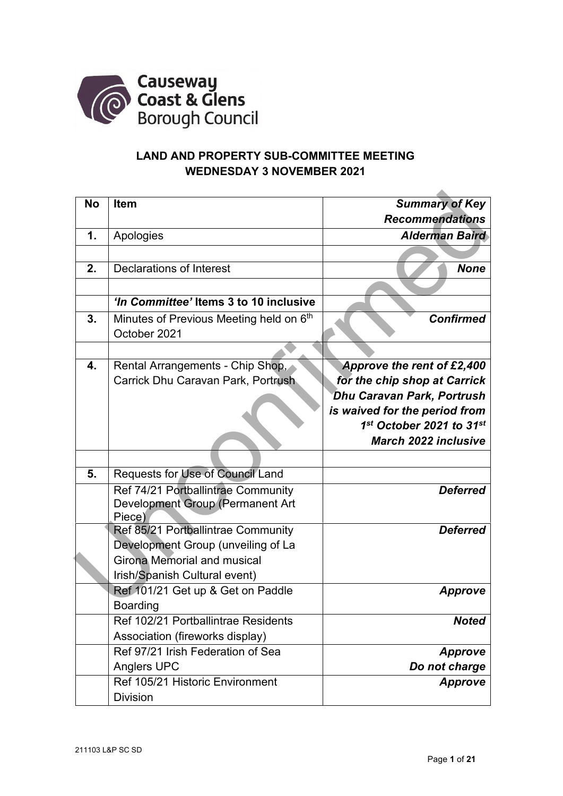

## **LAND AND PROPERTY SUB-COMMITTEE MEETING WEDNESDAY 3 NOVEMBER 2021**

| <b>No</b>      | <b>Item</b>                             | <b>Summary of Key</b>         |
|----------------|-----------------------------------------|-------------------------------|
|                |                                         | <b>Recommendations</b>        |
| $\mathbf{1}$ . | Apologies                               | <b>Alderman Baird</b>         |
|                |                                         |                               |
| 2.             | Declarations of Interest                | <b>None</b>                   |
|                |                                         |                               |
|                | 'In Committee' Items 3 to 10 inclusive  |                               |
| 3.             | Minutes of Previous Meeting held on 6th | <b>Confirmed</b>              |
|                | October 2021                            |                               |
|                |                                         |                               |
| 4.             | Rental Arrangements - Chip Shop,        | Approve the rent of £2,400    |
|                | Carrick Dhu Caravan Park, Portrush      | for the chip shop at Carrick  |
|                |                                         | Dhu Caravan Park, Portrush    |
|                |                                         | is waived for the period from |
|                |                                         | 1st October 2021 to 31st      |
|                |                                         | <b>March 2022 inclusive</b>   |
|                |                                         |                               |
| 5.             | Requests for Use of Council Land        |                               |
|                | Ref 74/21 Portballintrae Community      | <b>Deferred</b>               |
|                | Development Group (Permanent Art        |                               |
|                | Piece)                                  |                               |
|                | Ref 85/21 Portballintrae Community      | <b>Deferred</b>               |
|                | Development Group (unveiling of La      |                               |
|                | Girona Memorial and musical             |                               |
|                | Irish/Spanish Cultural event)           |                               |
|                | Ref 101/21 Get up & Get on Paddle       | <b>Approve</b>                |
|                | <b>Boarding</b>                         |                               |
|                | Ref 102/21 Portballintrae Residents     | <b>Noted</b>                  |
|                | Association (fireworks display)         |                               |
|                | Ref 97/21 Irish Federation of Sea       | <b>Approve</b>                |
|                | <b>Anglers UPC</b>                      | Do not charge                 |
|                | Ref 105/21 Historic Environment         | <b>Approve</b>                |
|                | <b>Division</b>                         |                               |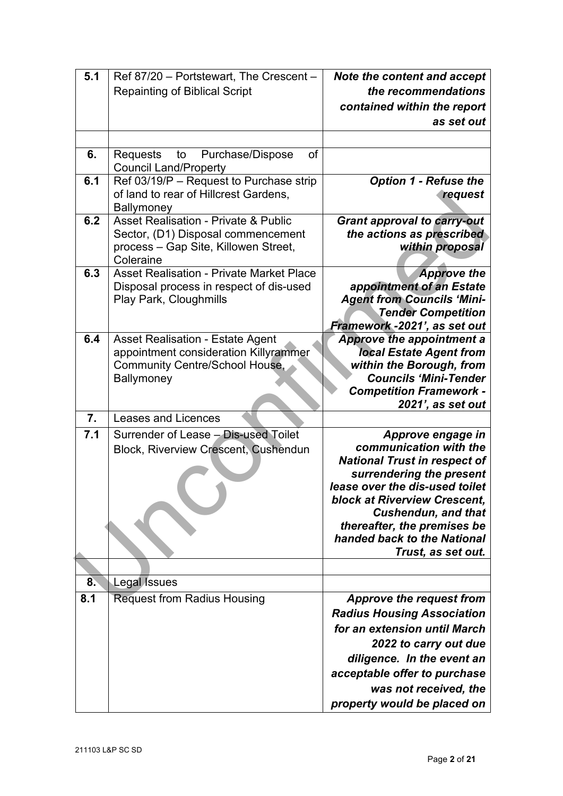| 5.1              | Ref 87/20 - Portstewart, The Crescent -                                                                                                    | Note the content and accept                                                                                                                                                                                                                                                                               |
|------------------|--------------------------------------------------------------------------------------------------------------------------------------------|-----------------------------------------------------------------------------------------------------------------------------------------------------------------------------------------------------------------------------------------------------------------------------------------------------------|
|                  | <b>Repainting of Biblical Script</b>                                                                                                       | the recommendations                                                                                                                                                                                                                                                                                       |
|                  |                                                                                                                                            | contained within the report                                                                                                                                                                                                                                                                               |
|                  |                                                                                                                                            | as set out                                                                                                                                                                                                                                                                                                |
|                  |                                                                                                                                            |                                                                                                                                                                                                                                                                                                           |
| 6.               | Purchase/Dispose<br>of<br>to<br><b>Requests</b><br><b>Council Land/Property</b>                                                            |                                                                                                                                                                                                                                                                                                           |
| 6.1              | Ref 03/19/P - Request to Purchase strip<br>of land to rear of Hillcrest Gardens,<br><b>Ballymoney</b>                                      | <b>Option 1 - Refuse the</b><br>request                                                                                                                                                                                                                                                                   |
| 6.2              | <b>Asset Realisation - Private &amp; Public</b><br>Sector, (D1) Disposal commencement<br>process - Gap Site, Killowen Street,<br>Coleraine | <b>Grant approval to carry-out</b><br>the actions as prescribed<br>within proposal                                                                                                                                                                                                                        |
| 6.3              | <b>Asset Realisation - Private Market Place</b><br>Disposal process in respect of dis-used<br>Play Park, Cloughmills                       | <b>Approve the</b><br>appointment of an Estate<br><b>Agent from Councils 'Mini-</b><br><b>Tender Competition</b><br>Framework -2021', as set out                                                                                                                                                          |
| 6.4              | <b>Asset Realisation - Estate Agent</b><br>appointment consideration Killyrammer<br>Community Centre/School House,<br>Ballymoney           | <b>Approve the appointment a</b><br><b>local Estate Agent from</b><br>within the Borough, from<br><b>Councils 'Mini-Tender</b><br><b>Competition Framework -</b><br>2021', as set out                                                                                                                     |
| $\overline{7}$ . | <b>Leases and Licences</b>                                                                                                                 |                                                                                                                                                                                                                                                                                                           |
| 7.1              | Surrender of Lease - Dis-used Toilet<br><b>Block, Riverview Crescent, Cushendun</b>                                                        | Approve engage in<br>communication with the<br><b>National Trust in respect of</b><br>surrendering the present<br>lease over the dis-used toilet<br><b>block at Riverview Crescent,</b><br><b>Cushendun, and that</b><br>thereafter, the premises be<br>handed back to the National<br>Trust, as set out. |
| 8.               | <b>Legal Issues</b>                                                                                                                        |                                                                                                                                                                                                                                                                                                           |
| 8.1              | <b>Request from Radius Housing</b>                                                                                                         | Approve the request from                                                                                                                                                                                                                                                                                  |
|                  |                                                                                                                                            | <b>Radius Housing Association</b><br>for an extension until March<br>2022 to carry out due<br>diligence. In the event an<br>acceptable offer to purchase<br>was not received, the<br>property would be placed on                                                                                          |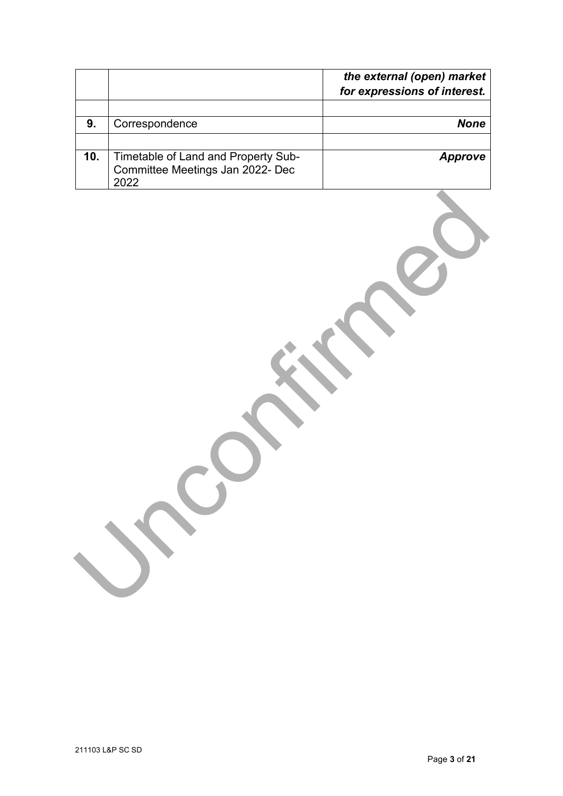|     |                                                                                 | the external (open) market   |
|-----|---------------------------------------------------------------------------------|------------------------------|
|     |                                                                                 | for expressions of interest. |
| 9.  | Correspondence                                                                  | <b>None</b>                  |
|     |                                                                                 |                              |
| 10. | Timetable of Land and Property Sub-<br>Committee Meetings Jan 2022- Dec<br>2022 | <b>Approve</b>               |
|     |                                                                                 |                              |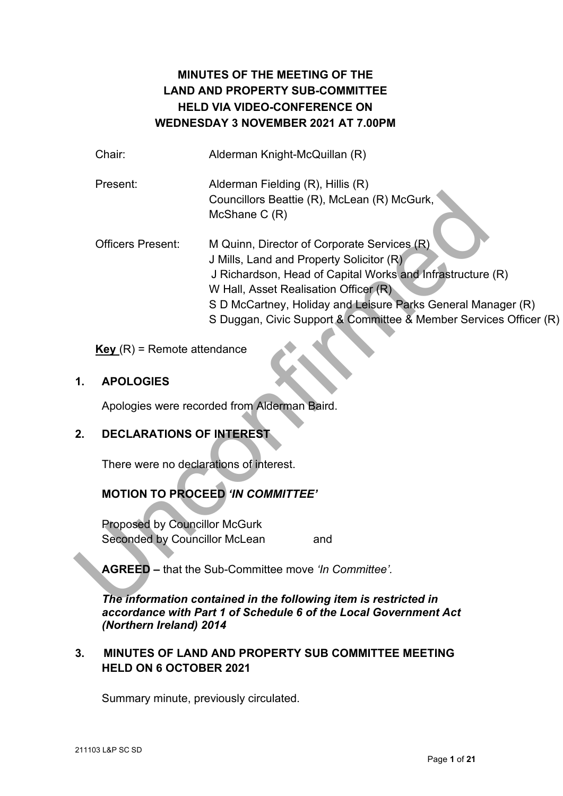# **MINUTES OF THE MEETING OF THE LAND AND PROPERTY SUB-COMMITTEE HELD VIA VIDEO-CONFERENCE ON WEDNESDAY 3 NOVEMBER 2021 AT 7.00PM**

|    | Chair:                                  | Alderman Knight-McQuillan (R)                                                                                                                                                                                                                                                                                                       |
|----|-----------------------------------------|-------------------------------------------------------------------------------------------------------------------------------------------------------------------------------------------------------------------------------------------------------------------------------------------------------------------------------------|
|    | Present:                                | Alderman Fielding (R), Hillis (R)<br>Councillors Beattie (R), McLean (R) McGurk,<br>McShane C (R)                                                                                                                                                                                                                                   |
|    | <b>Officers Present:</b>                | M Quinn, Director of Corporate Services (R)<br>J Mills, Land and Property Solicitor (R)<br>J Richardson, Head of Capital Works and Infrastructure (R)<br>W Hall, Asset Realisation Officer (R)<br>S D McCartney, Holiday and Leisure Parks General Manager (R)<br>S Duggan, Civic Support & Committee & Member Services Officer (R) |
|    | $Key(R)$ = Remote attendance            |                                                                                                                                                                                                                                                                                                                                     |
| 1. | <b>APOLOGIES</b>                        |                                                                                                                                                                                                                                                                                                                                     |
|    |                                         | Apologies were recorded from Alderman Baird.                                                                                                                                                                                                                                                                                        |
| 2. | <b>DECLARATIONS OF INTEREST</b>         |                                                                                                                                                                                                                                                                                                                                     |
|    | There were no declarations of interest. |                                                                                                                                                                                                                                                                                                                                     |
|    |                                         | <b>MOTION TO PROCEED 'IN COMMITTEE'</b>                                                                                                                                                                                                                                                                                             |
|    | <b>Proposed by Councillor McGurk</b>    |                                                                                                                                                                                                                                                                                                                                     |
|    | Seconded by Councillor McLean           | and                                                                                                                                                                                                                                                                                                                                 |
|    |                                         | <b>AGREED</b> – that the Sub-Committee move 'In Committee'.                                                                                                                                                                                                                                                                         |
|    |                                         | The information contained in the following item is restricted in                                                                                                                                                                                                                                                                    |

## **1. APOLOGIES**

## **2. DECLARATIONS OF INTEREST**

# **MOTION TO PROCEED** *'IN COMMITTEE'*

*The information contained in the following item is restricted in accordance with Part 1 of Schedule 6 of the Local Government Act (Northern Ireland) 2014* 

## **3. MINUTES OF LAND AND PROPERTY SUB COMMITTEE MEETING HELD ON 6 OCTOBER 2021**

Summary minute, previously circulated.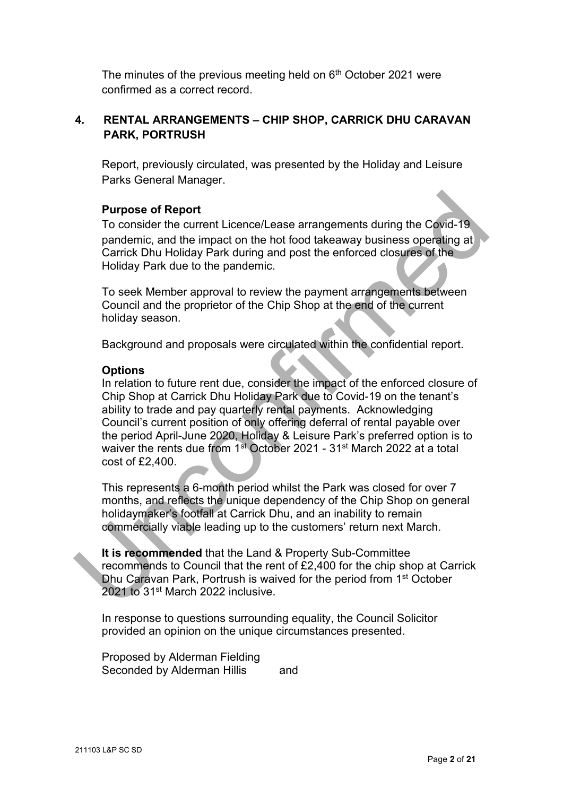The minutes of the previous meeting held on 6<sup>th</sup> October 2021 were confirmed as a correct record.

## **4. RENTAL ARRANGEMENTS – CHIP SHOP, CARRICK DHU CARAVAN PARK, PORTRUSH**

Report, previously circulated, was presented by the Holiday and Leisure Parks General Manager.

## **Purpose of Report**

To consider the current Licence/Lease arrangements during the Covid-19 pandemic, and the impact on the hot food takeaway business operating at Carrick Dhu Holiday Park during and post the enforced closures of the Holiday Park due to the pandemic.

To seek Member approval to review the payment arrangements between Council and the proprietor of the Chip Shop at the end of the current holiday season.

Background and proposals were circulated within the confidential report.

#### **Options**

In relation to future rent due, consider the impact of the enforced closure of Chip Shop at Carrick Dhu Holiday Park due to Covid-19 on the tenant's ability to trade and pay quarterly rental payments. Acknowledging Council's current position of only offering deferral of rental payable over the period April-June 2020, Holiday & Leisure Park's preferred option is to waiver the rents due from 1<sup>st</sup> October 2021 - 31<sup>st</sup> March 2022 at a total cost of £2,400. **Purpose of Report**<br>To consider the current Licence/Lease arrangements during the Covid-19<br>pandemic, and the impact on the hot food takeaway business operating at<br>Carrick Dhu Holiday Park during and post the enforced clos

This represents a 6-month period whilst the Park was closed for over 7 months, and reflects the unique dependency of the Chip Shop on general holidaymaker's footfall at Carrick Dhu, and an inability to remain commercially viable leading up to the customers' return next March.

**It is recommended** that the Land & Property Sub-Committee recommends to Council that the rent of £2,400 for the chip shop at Carrick Dhu Caravan Park, Portrush is waived for the period from 1st October 2021 to 31<sup>st</sup> March 2022 inclusive.

In response to questions surrounding equality, the Council Solicitor provided an opinion on the unique circumstances presented.

Proposed by Alderman Fielding Seconded by Alderman Hillis and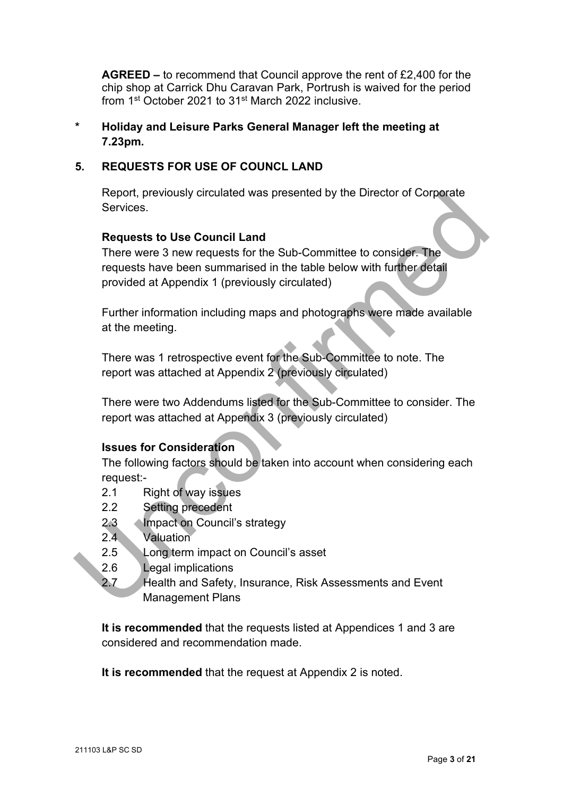**AGREED –** to recommend that Council approve the rent of £2,400 for the chip shop at Carrick Dhu Caravan Park, Portrush is waived for the period from 1st October 2021 to 31st March 2022 inclusive.

**\* Holiday and Leisure Parks General Manager left the meeting at 7.23pm.** 

## **5. REQUESTS FOR USE OF COUNCL LAND**

Report, previously circulated was presented by the Director of Corporate **Services** 

## **Requests to Use Council Land**

There were 3 new requests for the Sub-Committee to consider. The requests have been summarised in the table below with further detail provided at Appendix 1 (previously circulated) Report, previously circulated was presented by the Director of Corporate<br>
Services.<br>
Requests to Use Council Land<br>
There were 3 new requests for the Sub-Committee to consider. The<br>
requests have been summarised in the tabl

Further information including maps and photographs were made available at the meeting.

There was 1 retrospective event for the Sub-Committee to note. The report was attached at Appendix 2 (previously circulated)

There were two Addendums listed for the Sub-Committee to consider. The report was attached at Appendix 3 (previously circulated)

## **Issues for Consideration**

The following factors should be taken into account when considering each request:-

- 2.1 Right of way issues
- 2.2 Setting precedent
- 2.3 **Impact on Council's strategy**
- 2.4 Valuation
- 2.5 Long term impact on Council's asset
- 2.6 Legal implications
- 2.7 Health and Safety, Insurance, Risk Assessments and Event Management Plans

**It is recommended** that the requests listed at Appendices 1 and 3 are considered and recommendation made.

**It is recommended** that the request at Appendix 2 is noted.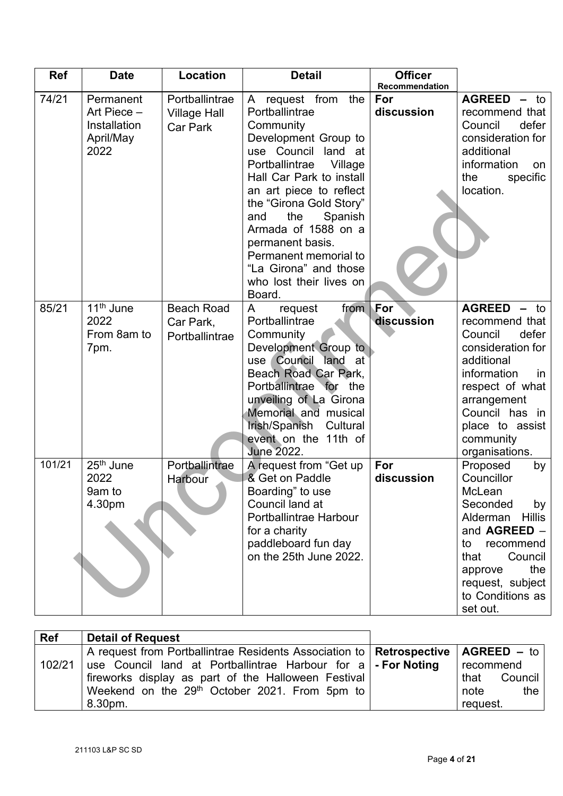| <b>Ref</b> | <b>Date</b>                                                   | <b>Location</b>                                   | <b>Detail</b>                                                                                                                                                                                                                                                                                                                                                              | <b>Officer</b><br>Recommendation |                                                                                                                                                                                                                   |
|------------|---------------------------------------------------------------|---------------------------------------------------|----------------------------------------------------------------------------------------------------------------------------------------------------------------------------------------------------------------------------------------------------------------------------------------------------------------------------------------------------------------------------|----------------------------------|-------------------------------------------------------------------------------------------------------------------------------------------------------------------------------------------------------------------|
| 74/21      | Permanent<br>Art Piece -<br>Installation<br>April/May<br>2022 | Portballintrae<br><b>Village Hall</b><br>Car Park | A request from the<br>Portballintrae<br>Community<br>Development Group to<br>use Council land at<br>Portballintrae<br>Village<br>Hall Car Park to install<br>an art piece to reflect<br>the "Girona Gold Story"<br>the<br>Spanish<br>and<br>Armada of 1588 on a<br>permanent basis.<br>Permanent memorial to<br>"La Girona" and those<br>who lost their lives on<br>Board. | For<br>discussion                | $AGREED - to$<br>recommend that<br>Council<br>defer<br>consideration for<br>additional<br>information<br>on<br>the<br>specific<br>location.                                                                       |
| 85/21      | 11 <sup>th</sup> June<br>2022<br>From 8am to<br>7pm.          | <b>Beach Road</b><br>Car Park,<br>Portballintrae  | from For<br>A<br>request<br>Portballintrae<br>Community<br>Development Group to<br>use Council land<br>at<br>Beach Road Car Park,<br>Portballintrae for the<br>unveiling of La Girona<br>Memorial and musical<br>Irish/Spanish<br>Cultural<br>event on the 11th of<br><b>June 2022.</b>                                                                                    | discussion                       | $AGREED - to$<br>recommend that<br>Council<br>defer<br>consideration for<br>additional<br>information<br>in<br>respect of what<br>arrangement<br>Council has in<br>place to assist<br>community<br>organisations. |
| 101/21     | 25 <sup>th</sup> June<br>2022<br>9am to<br>4.30pm             | Portballintrae<br>Harbour                         | A request from "Get up<br>& Get on Paddle<br>Boarding" to use<br>Council land at<br>Portballintrae Harbour<br>for a charity<br>paddleboard fun day<br>on the 25th June 2022.                                                                                                                                                                                               | For<br>discussion                | Proposed<br>by<br>Councillor<br>McLean<br>Seconded<br>by<br><b>Hillis</b><br>Alderman<br>and AGREED -<br>recommend<br>to<br>Council<br>that<br>the<br>approve<br>request, subject<br>to Conditions as<br>set out. |

| <b>Ref</b> | <b>Detail of Request</b>                                                               |                 |
|------------|----------------------------------------------------------------------------------------|-----------------|
|            | A request from Portballintrae Residents Association to   Retrospective   AGREED $-$ to |                 |
| 102/21     | use Council land at Portballintrae Harbour for a $\mathsf{I}$ - For Noting             | recommend       |
|            | fireworks display as part of the Halloween Festival                                    | Council<br>that |
|            | Weekend on the 29 <sup>th</sup> October 2021. From 5pm to                              | note<br>the     |
|            | 8.30pm.                                                                                | request.        |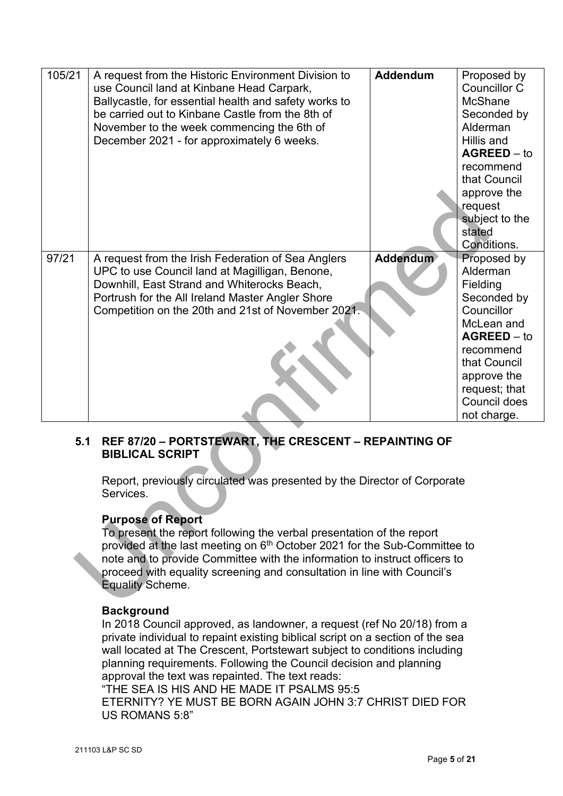| 105/21                                                                                                                                                                                                                                                                                                                                                                                                                                                                                                                                                            | A request from the Historic Environment Division to<br>use Council land at Kinbane Head Carpark,<br>Ballycastle, for essential health and safety works to<br>be carried out to Kinbane Castle from the 8th of<br>November to the week commencing the 6th of<br>December 2021 - for approximately 6 weeks. | <b>Addendum</b> | Proposed by<br><b>Councillor C</b><br><b>McShane</b><br>Seconded by<br>Alderman<br>Hillis and<br>$AGREED - to$<br>recommend<br>that Council<br>approve the<br>request<br>subject to the<br>stated<br>Conditions. |  |  |
|-------------------------------------------------------------------------------------------------------------------------------------------------------------------------------------------------------------------------------------------------------------------------------------------------------------------------------------------------------------------------------------------------------------------------------------------------------------------------------------------------------------------------------------------------------------------|-----------------------------------------------------------------------------------------------------------------------------------------------------------------------------------------------------------------------------------------------------------------------------------------------------------|-----------------|------------------------------------------------------------------------------------------------------------------------------------------------------------------------------------------------------------------|--|--|
| 97/21                                                                                                                                                                                                                                                                                                                                                                                                                                                                                                                                                             | A request from the Irish Federation of Sea Anglers<br>UPC to use Council land at Magilligan, Benone,<br>Downhill, East Strand and Whiterocks Beach,<br>Portrush for the All Ireland Master Angler Shore<br>Competition on the 20th and 21st of November 2021.                                             | <b>Addendum</b> | Proposed by<br>Alderman<br>Fielding<br>Seconded by<br>Councillor<br>McLean and<br>$AGREED - to$<br>recommend<br>that Council<br>approve the<br>request; that<br>Council does<br>not charge.                      |  |  |
| REF 87/20 - PORTSTEWART, THE CRESCENT - REPAINTING OF<br>5.1<br><b>BIBLICAL SCRIPT</b><br>Report, previously circulated was presented by the Director of Corporate<br>Services.<br><b>Purpose of Report</b><br>To present the report following the verbal presentation of the report<br>provided at the last meeting on 6 <sup>th</sup> October 2021 for the Sub-Committee to<br>note and to provide Committee with the information to instruct officers to<br>proceed with equality screening and consultation in line with Council's<br><b>Equality Scheme.</b> |                                                                                                                                                                                                                                                                                                           |                 |                                                                                                                                                                                                                  |  |  |

## **5.1 REF 87/20 – PORTSTEWART, THE CRESCENT – REPAINTING OF BIBLICAL SCRIPT**

## **Purpose of Report**

## **Background**

In 2018 Council approved, as landowner, a request (ref No 20/18) from a private individual to repaint existing biblical script on a section of the sea wall located at The Crescent, Portstewart subject to conditions including planning requirements. Following the Council decision and planning approval the text was repainted. The text reads: "THE SEA IS HIS AND HE MADE IT PSALMS 95:5

ETERNITY? YE MUST BE BORN AGAIN JOHN 3:7 CHRIST DIED FOR US ROMANS 5:8"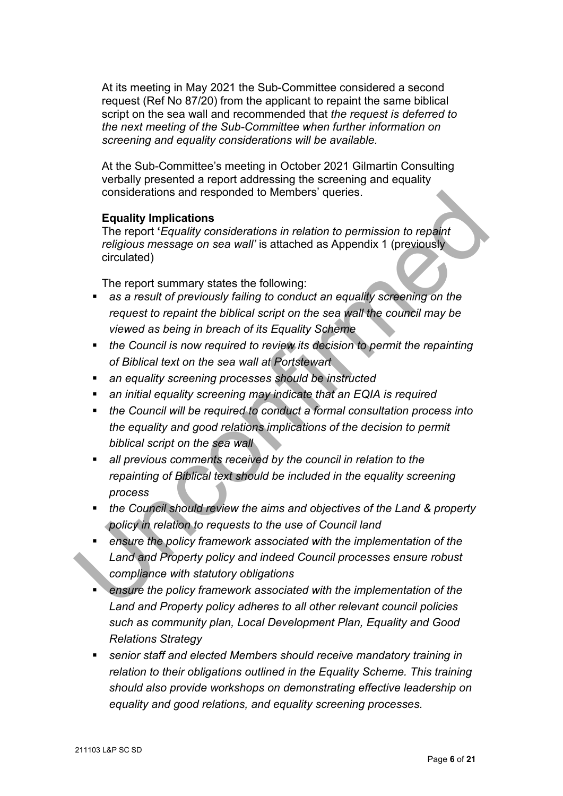At its meeting in May 2021 the Sub-Committee considered a second request (Ref No 87/20) from the applicant to repaint the same biblical script on the sea wall and recommended that *the request is deferred to the next meeting of the Sub-Committee when further information on screening and equality considerations will be available.*

At the Sub-Committee's meeting in October 2021 Gilmartin Consulting verbally presented a report addressing the screening and equality considerations and responded to Members' queries.

#### **Equality Implications**

The report **'***Equality considerations in relation to permission to repaint religious message on sea wall'* is attached as Appendix 1 (previously circulated)

The report summary states the following:

- **as a result of previously failing to conduct an equality screening on the** *request to repaint the biblical script on the sea wall the council may be viewed as being in breach of its Equality Scheme*
- *the Council is now required to review its decision to permit the repainting of Biblical text on the sea wall at Portstewart*
- *an equality screening processes should be instructed*
- *an initial equality screening may indicate that an EQIA is required*
- *the Council will be required to conduct a formal consultation process into the equality and good relations implications of the decision to permit biblical script on the sea wall*  considerations and responded to Members' queries.<br>
The report "Equality mplications<br>
The report "Equality considerations in relation to permission to repaint<br>
religious message on sea wall' is attached as Appendix 1 (previ
	- *all previous comments received by the council in relation to the repainting of Biblical text should be included in the equality screening process*
	- *the Council should review the aims and objectives of the Land & property policy in relation to requests to the use of Council land*
	- *ensure the policy framework associated with the implementation of the Land and Property policy and indeed Council processes ensure robust compliance with statutory obligations*
	- *ensure the policy framework associated with the implementation of the Land and Property policy adheres to all other relevant council policies such as community plan, Local Development Plan, Equality and Good Relations Strategy*
	- *senior staff and elected Members should receive mandatory training in relation to their obligations outlined in the Equality Scheme. This training should also provide workshops on demonstrating effective leadership on equality and good relations, and equality screening processes.*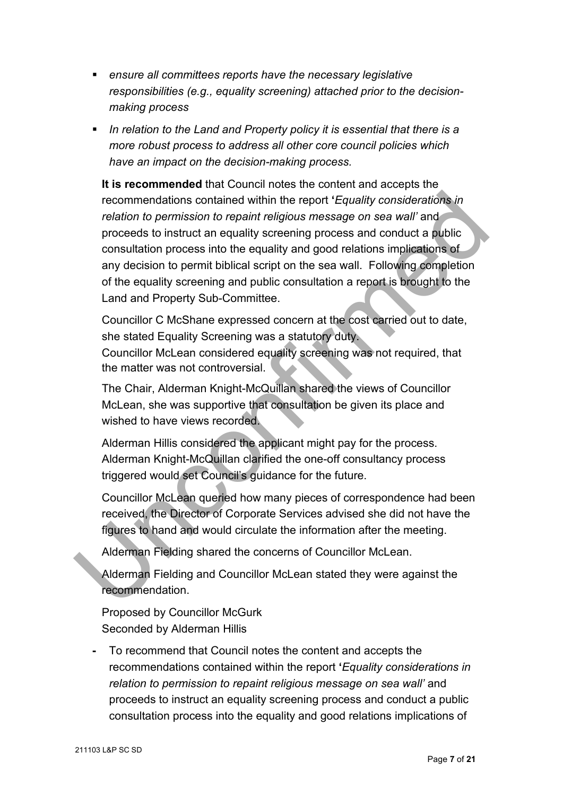- *ensure all committees reports have the necessary legislative responsibilities (e.g., equality screening) attached prior to the decisionmaking process*
- *In relation to the Land and Property policy it is essential that there is a more robust process to address all other core council policies which have an impact on the decision-making process.*

**It is recommended** that Council notes the content and accepts the recommendations contained within the report **'***Equality considerations in relation to permission to repaint religious message on sea wall'* and proceeds to instruct an equality screening process and conduct a public consultation process into the equality and good relations implications of any decision to permit biblical script on the sea wall. Following completion of the equality screening and public consultation a report is brought to the Land and Property Sub-Committee. recommendations contained within the report '*Equality considerations in*<br> *relation to permission to repaint religious message on sea wall'* and<br>
proceeds to instruct an equality screening process and conduct a public<br>
co

Councillor C McShane expressed concern at the cost carried out to date, she stated Equality Screening was a statutory duty.

Councillor McLean considered equality screening was not required, that the matter was not controversial.

The Chair, Alderman Knight-McQuillan shared the views of Councillor McLean, she was supportive that consultation be given its place and wished to have views recorded.

Alderman Hillis considered the applicant might pay for the process. Alderman Knight-McQuillan clarified the one-off consultancy process triggered would set Council's guidance for the future.

Councillor McLean queried how many pieces of correspondence had been received, the Director of Corporate Services advised she did not have the figures to hand and would circulate the information after the meeting.

Alderman Fielding shared the concerns of Councillor McLean.

Alderman Fielding and Councillor McLean stated they were against the recommendation.

Proposed by Councillor McGurk Seconded by Alderman Hillis

**-** To recommend that Council notes the content and accepts the recommendations contained within the report **'***Equality considerations in relation to permission to repaint religious message on sea wall'* and proceeds to instruct an equality screening process and conduct a public consultation process into the equality and good relations implications of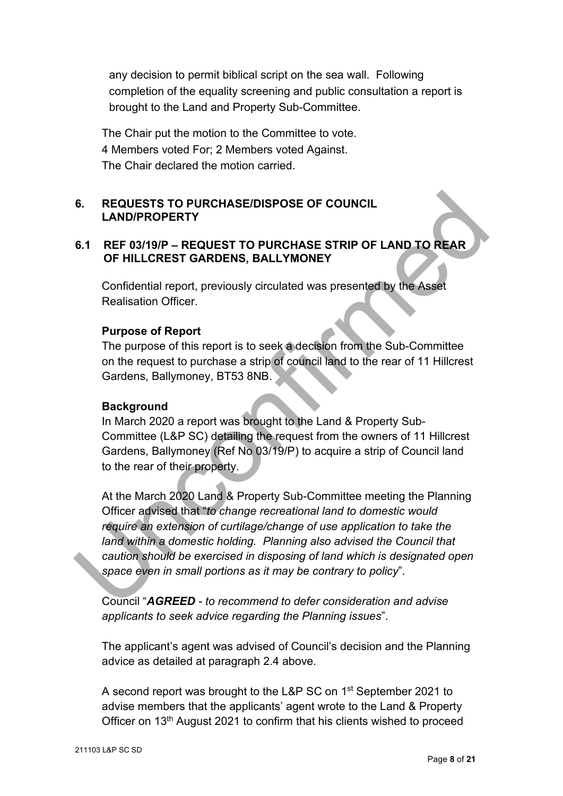any decision to permit biblical script on the sea wall. Following completion of the equality screening and public consultation a report is brought to the Land and Property Sub-Committee.

The Chair put the motion to the Committee to vote. 4 Members voted For; 2 Members voted Against. The Chair declared the motion carried.

## **6. REQUESTS TO PURCHASE/DISPOSE OF COUNCIL LAND/PROPERTY**

## **6.1 REF 03/19/P – REQUEST TO PURCHASE STRIP OF LAND TO REAR OF HILLCREST GARDENS, BALLYMONEY**

Confidential report, previously circulated was presented by the Asset Realisation Officer.

## **Purpose of Report**

The purpose of this report is to seek a decision from the Sub-Committee on the request to purchase a strip of council land to the rear of 11 Hillcrest Gardens, Ballymoney, BT53 8NB.

## **Background**

In March 2020 a report was brought to the Land & Property Sub-Committee (L&P SC) detailing the request from the owners of 11 Hillcrest Gardens, Ballymoney (Ref No 03/19/P) to acquire a strip of Council land to the rear of their property.

At the March 2020 Land & Property Sub-Committee meeting the Planning Officer advised that "*to change recreational land to domestic would require an extension of curtilage/change of use application to take the land within a domestic holding. Planning also advised the Council that caution should be exercised in disposing of land which is designated open space even in small portions as it may be contrary to policy*". 6. REQUESTS TO PURCHASE/DISPOSE OF COUNCIL<br>
LAND/PROPERTY<br>
6.1 REF 03/19/P – REQUEST TO PURCHASE STRIP OF LAND TO REAR<br>
OF HILLCREST GARDENS, BALLYMONEY<br>
Confidential report, previously circulated was presented by the Ass

Council "*AGREED - to recommend to defer consideration and advise applicants to seek advice regarding the Planning issues*".

The applicant's agent was advised of Council's decision and the Planning advice as detailed at paragraph 2.4 above.

A second report was brought to the L&P SC on 1<sup>st</sup> September 2021 to advise members that the applicants' agent wrote to the Land & Property Officer on 13th August 2021 to confirm that his clients wished to proceed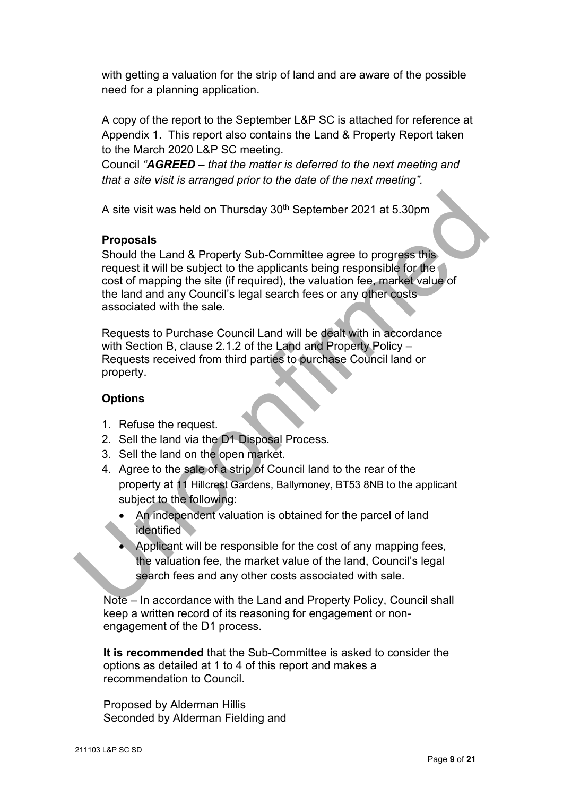with getting a valuation for the strip of land and are aware of the possible need for a planning application.

A copy of the report to the September L&P SC is attached for reference at Appendix 1. This report also contains the Land & Property Report taken to the March 2020 L&P SC meeting.

Council *"AGREED – that the matter is deferred to the next meeting and that a site visit is arranged prior to the date of the next meeting".*

A site visit was held on Thursday 30<sup>th</sup> September 2021 at 5.30pm

## **Proposals**

Should the Land & Property Sub-Committee agree to progress this request it will be subject to the applicants being responsible for the cost of mapping the site (if required), the valuation fee, market value of the land and any Council's legal search fees or any other costs associated with the sale. A site visit was held on Thursday 30<sup>th</sup> September 2021 at 5.30pm<br> **Proposals**<br>
Should the Land & Property Sub-Committee agree to progress this<br>
request it will be subject to the applicants being responsible for the<br>
cost

Requests to Purchase Council Land will be dealt with in accordance with Section B, clause 2.1.2 of the Land and Property Policy – Requests received from third parties to purchase Council land or property.

## **Options**

- 1. Refuse the request.
- 2. Sell the land via the D1 Disposal Process.
- 3. Sell the land on the open market.
- 4. Agree to the sale of a strip of Council land to the rear of the property at 11 Hillcrest Gardens, Ballymoney, BT53 8NB to the applicant subject to the following:
	- An independent valuation is obtained for the parcel of land identified
	- Applicant will be responsible for the cost of any mapping fees, the valuation fee, the market value of the land, Council's legal search fees and any other costs associated with sale.

Note – In accordance with the Land and Property Policy, Council shall keep a written record of its reasoning for engagement or nonengagement of the D1 process.

**It is recommended** that the Sub-Committee is asked to consider the options as detailed at 1 to 4 of this report and makes a recommendation to Council.

Proposed by Alderman Hillis Seconded by Alderman Fielding and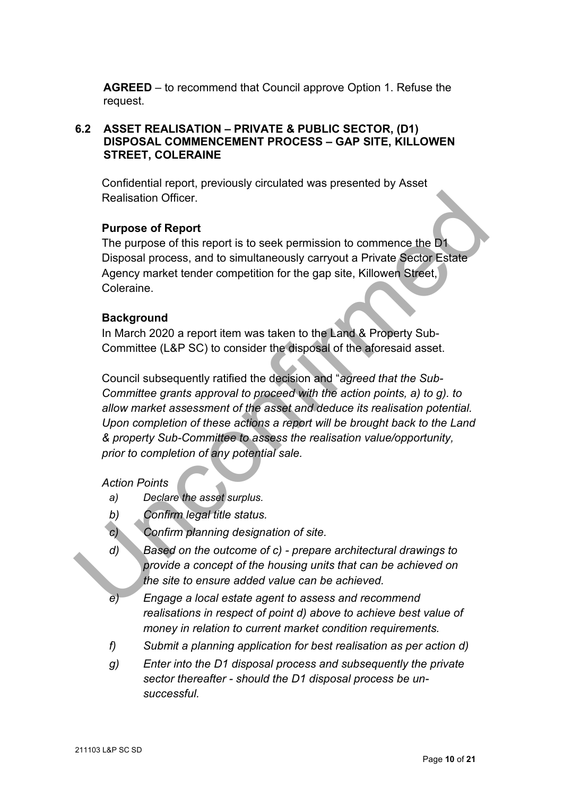**AGREED** – to recommend that Council approve Option 1. Refuse the request.

## **6.2 ASSET REALISATION – PRIVATE & PUBLIC SECTOR, (D1) DISPOSAL COMMENCEMENT PROCESS – GAP SITE, KILLOWEN STREET, COLERAINE**

Confidential report, previously circulated was presented by Asset Realisation Officer.

## **Purpose of Report**

The purpose of this report is to seek permission to commence the D1 Disposal process, and to simultaneously carryout a Private Sector Estate Agency market tender competition for the gap site, Killowen Street, Coleraine.

## **Background**

In March 2020 a report item was taken to the Land & Property Sub-Committee (L&P SC) to consider the disposal of the aforesaid asset.

Council subsequently ratified the decision and "*agreed that the Sub-Committee grants approval to proceed with the action points, a) to g). to allow market assessment of the asset and deduce its realisation potential. Upon completion of these actions a report will be brought back to the Land & property Sub-Committee to assess the realisation value/opportunity, prior to completion of any potential sale.* Realisation Officer.<br>
The purpose of Report<br>
The purpose of this report is to seek permission to commence the D1<br>
Disposal process, and to simultaneously carryout a Private Setor Estate<br>
Agency market tender competition f

## *Action Points*

- *a) Declare the asset surplus.*
- *b) Confirm legal title status.*
- *c) Confirm planning designation of site.*
- *d) Based on the outcome of c) prepare architectural drawings to provide a concept of the housing units that can be achieved on the site to ensure added value can be achieved.*
- *e) Engage a local estate agent to assess and recommend realisations in respect of point d) above to achieve best value of money in relation to current market condition requirements.*
- *f) Submit a planning application for best realisation as per action d)*
- *g) Enter into the D1 disposal process and subsequently the private sector thereafter - should the D1 disposal process be unsuccessful.*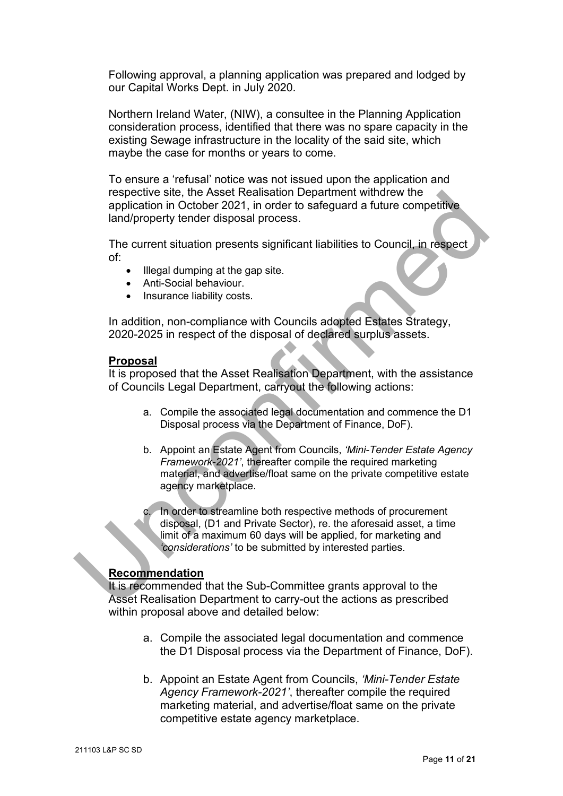Following approval, a planning application was prepared and lodged by our Capital Works Dept. in July 2020.

Northern Ireland Water, (NIW), a consultee in the Planning Application consideration process, identified that there was no spare capacity in the existing Sewage infrastructure in the locality of the said site, which maybe the case for months or years to come.

To ensure a 'refusal' notice was not issued upon the application and respective site, the Asset Realisation Department withdrew the application in October 2021, in order to safeguard a future competitive land/property tender disposal process.

The current situation presents significant liabilities to Council, in respect of:

- Illegal dumping at the gap site.
- Anti-Social behaviour.
- Insurance liability costs.

In addition, non-compliance with Councils adopted Estates Strategy, 2020-2025 in respect of the disposal of declared surplus assets.

#### **Proposal**

It is proposed that the Asset Realisation Department, with the assistance of Councils Legal Department, carryout the following actions:

- a. Compile the associated legal documentation and commence the D1 Disposal process via the Department of Finance, DoF).
- b. Appoint an Estate Agent from Councils, *'Mini-Tender Estate Agency Framework-2021'*, thereafter compile the required marketing material, and advertise/float same on the private competitive estate agency marketplace. respective site, the Asset Realisation Department withdrew the<br>application in October 2021, in order to safeguard a future competitive<br>land/property tender disposal process.<br>The current situation presents significant liabi

In order to streamline both respective methods of procurement disposal, (D1 and Private Sector), re. the aforesaid asset, a time limit of a maximum 60 days will be applied, for marketing and *'considerations'* to be submitted by interested parties.

#### **Recommendation**

It is recommended that the Sub-Committee grants approval to the Asset Realisation Department to carry-out the actions as prescribed within proposal above and detailed below:

- a. Compile the associated legal documentation and commence the D1 Disposal process via the Department of Finance, DoF).
- b. Appoint an Estate Agent from Councils, *'Mini-Tender Estate Agency Framework-2021'*, thereafter compile the required marketing material, and advertise/float same on the private competitive estate agency marketplace.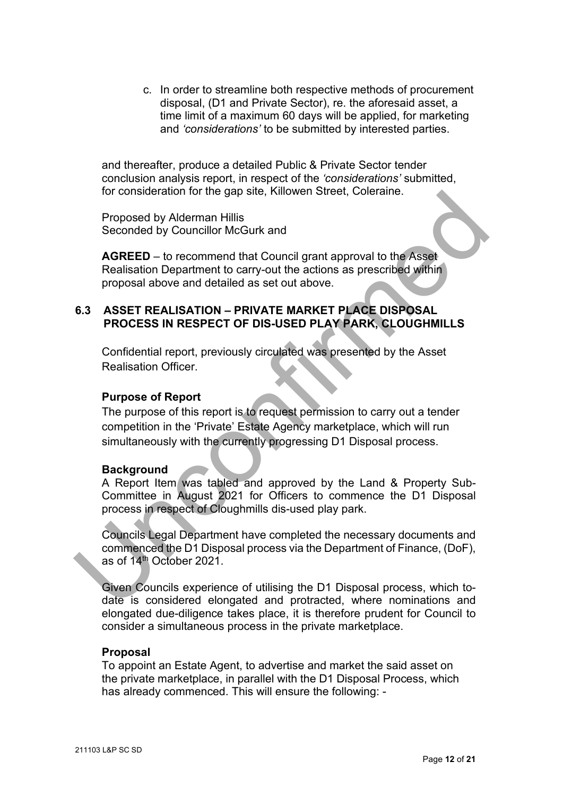c. In order to streamline both respective methods of procurement disposal, (D1 and Private Sector), re. the aforesaid asset, a time limit of a maximum 60 days will be applied, for marketing and *'considerations'* to be submitted by interested parties.

and thereafter, produce a detailed Public & Private Sector tender conclusion analysis report, in respect of the *'considerations'* submitted, for consideration for the gap site, Killowen Street, Coleraine.

Proposed by Alderman Hillis Seconded by Councillor McGurk and

**AGREED** – to recommend that Council grant approval to the Asset Realisation Department to carry-out the actions as prescribed within proposal above and detailed as set out above.

#### **6.3 ASSET REALISATION – PRIVATE MARKET PLACE DISPOSAL PROCESS IN RESPECT OF DIS-USED PLAY PARK, CLOUGHMILLS**

Confidential report, previously circulated was presented by the Asset Realisation Officer.

## **Purpose of Report**

The purpose of this report is to request permission to carry out a tender competition in the 'Private' Estate Agency marketplace, which will run simultaneously with the currently progressing D1 Disposal process. Froposed by Alderman Hillis<br>
Proposed by Alderman Hillis<br>
Seconded by Councillor McGurk and<br>
AGREED – to recommend that Council grant approval to the Asset<br>
Realisation Department to carry-out the actions as prescribed wit

#### **Background**

A Report Item was tabled and approved by the Land & Property Sub-Committee in August 2021 for Officers to commence the D1 Disposal process in respect of Cloughmills dis-used play park.

Councils Legal Department have completed the necessary documents and commenced the D1 Disposal process via the Department of Finance, (DoF), as of 14th October 2021.

Given Councils experience of utilising the D1 Disposal process, which todate is considered elongated and protracted, where nominations and elongated due-diligence takes place, it is therefore prudent for Council to consider a simultaneous process in the private marketplace.

#### **Proposal**

To appoint an Estate Agent, to advertise and market the said asset on the private marketplace, in parallel with the D1 Disposal Process, which has already commenced. This will ensure the following: -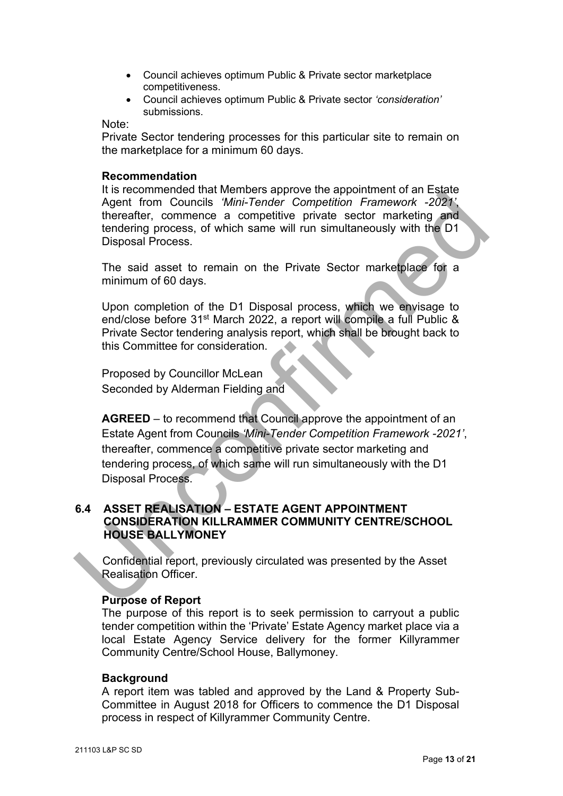- Council achieves optimum Public & Private sector marketplace competitiveness.
- Council achieves optimum Public & Private sector *'consideration'* submissions.

Note:

Private Sector tendering processes for this particular site to remain on the marketplace for a minimum 60 days.

#### **Recommendation**

 It is recommended that Members approve the appointment of an Estate Agent from Councils *'Mini-Tender Competition Framework -2021'*, thereafter, commence a competitive private sector marketing and tendering process, of which same will run simultaneously with the D1 Disposal Process.

The said asset to remain on the Private Sector marketplace for a minimum of 60 days.

Upon completion of the D1 Disposal process, which we envisage to end/close before 31st March 2022, a report will compile a full Public & Private Sector tendering analysis report, which shall be brought back to this Committee for consideration.

Proposed by Councillor McLean Seconded by Alderman Fielding and

**AGREED** – to recommend that Council approve the appointment of an Estate Agent from Councils *'Mini-Tender Competition Framework -2021'*, thereafter, commence a competitive private sector marketing and tendering process, of which same will run simultaneously with the D1 Disposal Process. Its is columinated una winnibisis applive the application of an Examely<br>Agent from Councils Win-Tender Competition Framework -2023;<br>therefalter, commence a competitive private sector marketing and<br>tendering process, of whi

#### **6.4 ASSET REALISATION – ESTATE AGENT APPOINTMENT CONSIDERATION KILLRAMMER COMMUNITY CENTRE/SCHOOL HOUSE BALLYMONEY**

Confidential report, previously circulated was presented by the Asset Realisation Officer.

#### **Purpose of Report**

The purpose of this report is to seek permission to carryout a public tender competition within the 'Private' Estate Agency market place via a local Estate Agency Service delivery for the former Killyrammer Community Centre/School House, Ballymoney.

#### **Background**

A report item was tabled and approved by the Land & Property Sub-Committee in August 2018 for Officers to commence the D1 Disposal process in respect of Killyrammer Community Centre.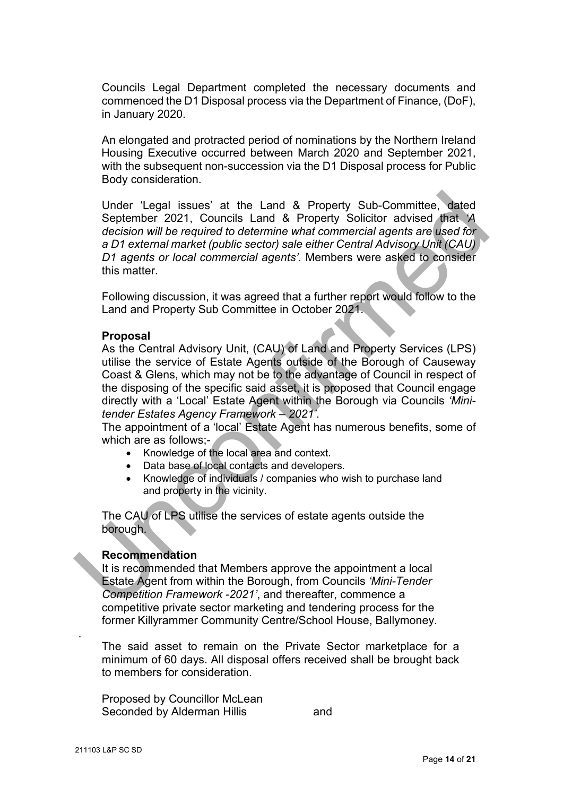Councils Legal Department completed the necessary documents and commenced the D1 Disposal process via the Department of Finance, (DoF), in January 2020.

An elongated and protracted period of nominations by the Northern Ireland Housing Executive occurred between March 2020 and September 2021, with the subsequent non-succession via the D1 Disposal process for Public Body consideration.

Under 'Legal issues' at the Land & Property Sub-Committee, dated September 2021, Councils Land & Property Solicitor advised that *'A decision will be required to determine what commercial agents are used for a D1 external market (public sector) sale either Central Advisory Unit (CAU) D1 agents or local commercial agents'.* Members were asked to consider this matter. Under 'Legal issues' at the Land & Property Sub-Committee, dated<br>September 2021, Councils Land & Property Solicitor advised that 'A<br>decision will be required to determine what commercial agents are used for<br>a D1 external

Following discussion, it was agreed that a further report would follow to the Land and Property Sub Committee in October 2021.

#### **Proposal**

As the Central Advisory Unit, (CAU) of Land and Property Services (LPS) utilise the service of Estate Agents outside of the Borough of Causeway Coast & Glens, which may not be to the advantage of Council in respect of the disposing of the specific said asset, it is proposed that Council engage directly with a 'Local' Estate Agent within the Borough via Councils *'Minitender Estates Agency Framework – 2021'*.

The appointment of a 'local' Estate Agent has numerous benefits, some of which are as follows;-

- Knowledge of the local area and context.
- Data base of local contacts and developers.
- Knowledge of individuals / companies who wish to purchase land and property in the vicinity.

The CAU of LPS utilise the services of estate agents outside the borough.

#### **Recommendation**

It is recommended that Members approve the appointment a local Estate Agent from within the Borough, from Councils *'Mini-Tender Competition Framework -2021'*, and thereafter, commence a competitive private sector marketing and tendering process for the former Killyrammer Community Centre/School House, Ballymoney.

The said asset to remain on the Private Sector marketplace for a minimum of 60 days. All disposal offers received shall be brought back to members for consideration.

Proposed by Councillor McLean Seconded by Alderman Hillis and

.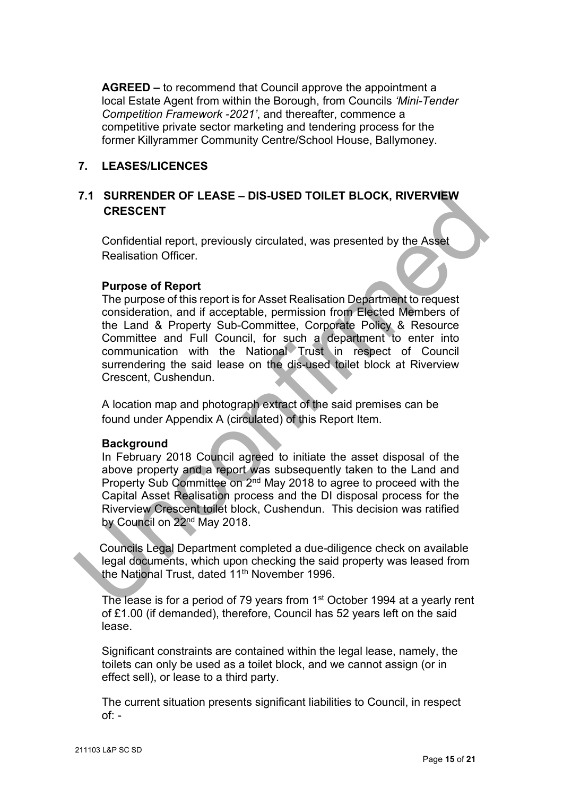**AGREED –** to recommend that Council approve the appointment a local Estate Agent from within the Borough, from Councils *'Mini-Tender Competition Framework -2021'*, and thereafter, commence a competitive private sector marketing and tendering process for the former Killyrammer Community Centre/School House, Ballymoney.

#### **7. LEASES/LICENCES**

## **7.1 SURRENDER OF LEASE – DIS-USED TOILET BLOCK, RIVERVIEW CRESCENT**

Confidential report, previously circulated, was presented by the Asset Realisation Officer.

#### **Purpose of Report**

The purpose of this report is for Asset Realisation Department to request consideration, and if acceptable, permission from Elected Members of the Land & Property Sub-Committee, Corporate Policy & Resource Committee and Full Council, for such a department to enter into communication with the National Trust in respect of Council surrendering the said lease on the dis-used toilet block at Riverview Crescent, Cushendun. 7.1 SURRENDER OF LEASE – DIS-USED TOILET BLOCK, RIVERVIEW<br>
CRESCENT<br>
Confidential report, previously circulated, was presented by the Asset<br>
Realisation Officer.<br>
Purpose of Report<br>
The purpose of Report<br>
Confidential rep

A location map and photograph extract of the said premises can be found under Appendix A (circulated) of this Report Item.

#### **Background**

In February 2018 Council agreed to initiate the asset disposal of the above property and a report was subsequently taken to the Land and Property Sub Committee on 2nd May 2018 to agree to proceed with the Capital Asset Realisation process and the DI disposal process for the Riverview Crescent toilet block, Cushendun. This decision was ratified by Council on 22<sup>nd</sup> May 2018.

Councils Legal Department completed a due-diligence check on available legal documents, which upon checking the said property was leased from the National Trust, dated 11<sup>th</sup> November 1996.

The lease is for a period of 79 years from 1<sup>st</sup> October 1994 at a yearly rent of £1.00 (if demanded), therefore, Council has 52 years left on the said lease.

Significant constraints are contained within the legal lease, namely, the toilets can only be used as a toilet block, and we cannot assign (or in effect sell), or lease to a third party.

The current situation presents significant liabilities to Council, in respect  $of: -$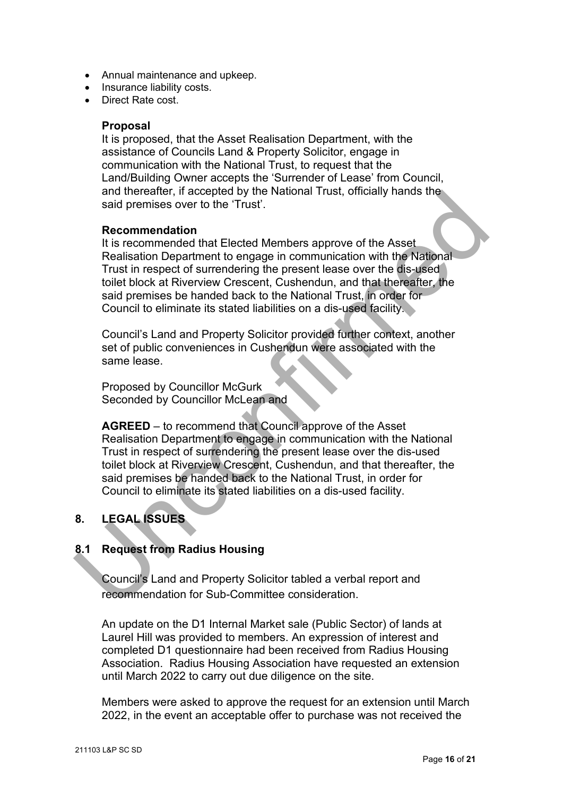- Annual maintenance and upkeep.
- Insurance liability costs.
- Direct Rate cost.

#### **Proposal**

It is proposed, that the Asset Realisation Department, with the assistance of Councils Land & Property Solicitor, engage in communication with the National Trust, to request that the Land/Building Owner accepts the 'Surrender of Lease' from Council, and thereafter, if accepted by the National Trust, officially hands the said premises over to the 'Trust'.

#### **Recommendation**

It is recommended that Elected Members approve of the Asset Realisation Department to engage in communication with the National Trust in respect of surrendering the present lease over the dis-used toilet block at Riverview Crescent, Cushendun, and that thereafter, the said premises be handed back to the National Trust, in order for Council to eliminate its stated liabilities on a dis-used facility. and therefores are coepted by the matterial intertional intertional and premises over to the 'Trust'.<br>
Recommended that Elected Members approve of the Asset<br>
Realisation Department to engage in communication with the Natio

Council's Land and Property Solicitor provided further context, another set of public conveniences in Cushendun were associated with the same lease.

Proposed by Councillor McGurk Seconded by Councillor McLean and

**AGREED** – to recommend that Council approve of the Asset Realisation Department to engage in communication with the National Trust in respect of surrendering the present lease over the dis-used toilet block at Riverview Crescent, Cushendun, and that thereafter, the said premises be handed back to the National Trust, in order for Council to eliminate its stated liabilities on a dis-used facility.

## **8. LEGAL ISSUES**

## **8.1 Request from Radius Housing**

Council's Land and Property Solicitor tabled a verbal report and recommendation for Sub-Committee consideration.

An update on the D1 Internal Market sale (Public Sector) of lands at Laurel Hill was provided to members. An expression of interest and completed D1 questionnaire had been received from Radius Housing Association. Radius Housing Association have requested an extension until March 2022 to carry out due diligence on the site.

Members were asked to approve the request for an extension until March 2022, in the event an acceptable offer to purchase was not received the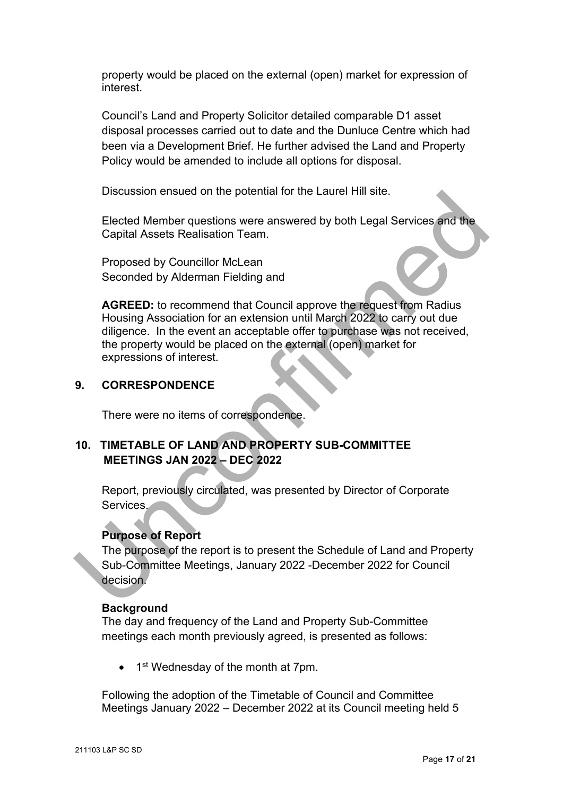property would be placed on the external (open) market for expression of interest.

Council's Land and Property Solicitor detailed comparable D1 asset disposal processes carried out to date and the Dunluce Centre which had been via a Development Brief. He further advised the Land and Property Policy would be amended to include all options for disposal.

Discussion ensued on the potential for the Laurel Hill site.

Elected Member questions were answered by both Legal Services and the Capital Assets Realisation Team.

Proposed by Councillor McLean Seconded by Alderman Fielding and

**AGREED:** to recommend that Council approve the request from Radius Housing Association for an extension until March 2022 to carry out due diligence. In the event an acceptable offer to purchase was not received, the property would be placed on the external (open) market for expressions of interest. Discussion ensued on the potential for the Laurel Hill stite.<br>
Elected Member questions were answered by both Legal Services and the<br>
Capital Assets Realisation Team.<br>
Proposed by Councillor McLean<br>
Seconded by Alderman Fi

## **9. CORRESPONDENCE**

There were no items of correspondence.

## **10. TIMETABLE OF LAND AND PROPERTY SUB-COMMITTEE MEETINGS JAN 2022 – DEC 2022**

Report, previously circulated, was presented by Director of Corporate Services.

## **Purpose of Report**

The purpose of the report is to present the Schedule of Land and Property Sub-Committee Meetings, January 2022 -December 2022 for Council decision.

## **Background**

The day and frequency of the Land and Property Sub-Committee meetings each month previously agreed, is presented as follows:

 $\bullet$  1<sup>st</sup> Wednesday of the month at 7pm.

Following the adoption of the Timetable of Council and Committee Meetings January 2022 – December 2022 at its Council meeting held 5